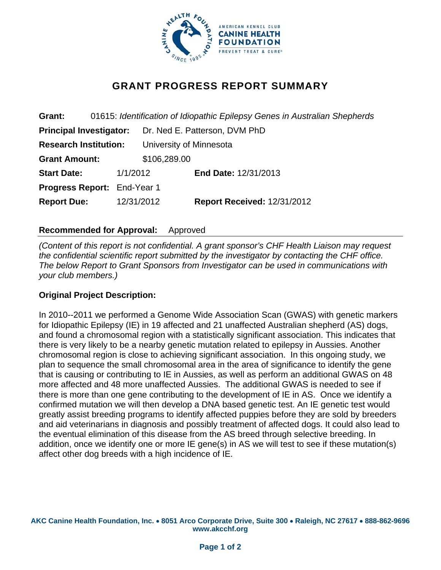

# **GRANT PROGRESS REPORT SUMMARY**

**Grant:** 01615: *Identification of Idiopathic Epilepsy Genes in Australian Shepherds*  **Principal Investigator:** Dr. Ned E. Patterson, DVM PhD **Research Institution:** University of Minnesota **Grant Amount:** \$106,289.00 **Start Date:** 1/1/2012 **End Date:** 12/31/2013 **Progress Report:** End-Year 1 **Report Due:** 12/31/2012 **Report Received:** 12/31/2012

## **Recommended for Approval:** Approved

*(Content of this report is not confidential. A grant sponsor's CHF Health Liaison may request the confidential scientific report submitted by the investigator by contacting the CHF office. The below Report to Grant Sponsors from Investigator can be used in communications with your club members.)* 

#### **Original Project Description:**

In 2010--2011 we performed a Genome Wide Association Scan (GWAS) with genetic markers for Idiopathic Epilepsy (IE) in 19 affected and 21 unaffected Australian shepherd (AS) dogs, and found a chromosomal region with a statistically significant association. This indicates that there is very likely to be a nearby genetic mutation related to epilepsy in Aussies. Another chromosomal region is close to achieving significant association. In this ongoing study, we plan to sequence the small chromosomal area in the area of significance to identify the gene that is causing or contributing to IE in Aussies, as well as perform an additional GWAS on 48 more affected and 48 more unaffected Aussies. The additional GWAS is needed to see if there is more than one gene contributing to the development of IE in AS. Once we identify a confirmed mutation we will then develop a DNA based genetic test. An IE genetic test would greatly assist breeding programs to identify affected puppies before they are sold by breeders and aid veterinarians in diagnosis and possibly treatment of affected dogs. It could also lead to the eventual elimination of this disease from the AS breed through selective breeding. In addition, once we identify one or more IE gene(s) in AS we will test to see if these mutation(s) affect other dog breeds with a high incidence of IE.